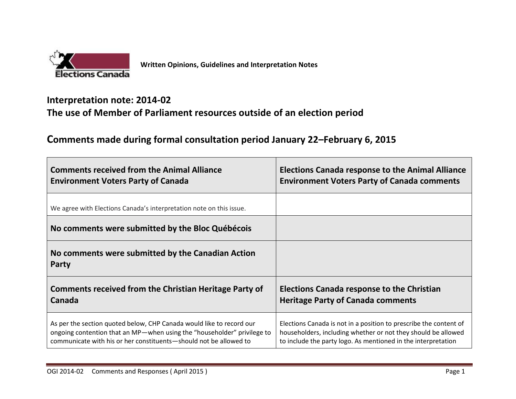

## **Interpretation note: 2014-02 The use of Member of Parliament resources outside of an election period**

## **Comments made during formal consultation period January 22–February 6, 2015**

| <b>Comments received from the Animal Alliance</b>                       | <b>Elections Canada response to the Animal Alliance</b>           |
|-------------------------------------------------------------------------|-------------------------------------------------------------------|
| <b>Environment Voters Party of Canada</b>                               | <b>Environment Voters Party of Canada comments</b>                |
| We agree with Elections Canada's interpretation note on this issue.     |                                                                   |
| No comments were submitted by the Bloc Québécois                        |                                                                   |
| No comments were submitted by the Canadian Action<br>Party              |                                                                   |
| Comments received from the Christian Heritage Party of                  | <b>Elections Canada response to the Christian</b>                 |
| Canada                                                                  | <b>Heritage Party of Canada comments</b>                          |
| As per the section quoted below, CHP Canada would like to record our    | Elections Canada is not in a position to prescribe the content of |
| ongoing contention that an MP-when using the "householder" privilege to | householders, including whether or not they should be allowed     |
| communicate with his or her constituents-should not be allowed to       | to include the party logo. As mentioned in the interpretation     |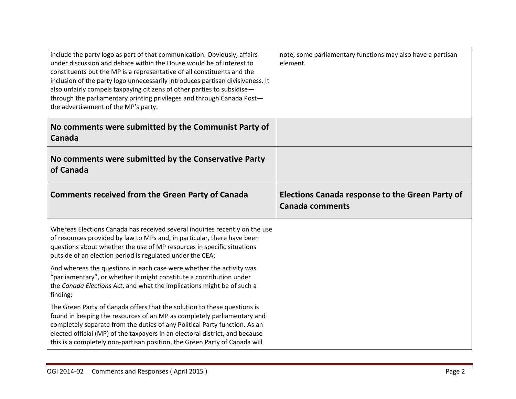| include the party logo as part of that communication. Obviously, affairs<br>under discussion and debate within the House would be of interest to<br>constituents but the MP is a representative of all constituents and the<br>inclusion of the party logo unnecessarily introduces partisan divisiveness. It<br>also unfairly compels taxpaying citizens of other parties to subsidise-<br>through the parliamentary printing privileges and through Canada Post-<br>the advertisement of the MP's party. | note, some parliamentary functions may also have a partisan<br>element. |
|------------------------------------------------------------------------------------------------------------------------------------------------------------------------------------------------------------------------------------------------------------------------------------------------------------------------------------------------------------------------------------------------------------------------------------------------------------------------------------------------------------|-------------------------------------------------------------------------|
| No comments were submitted by the Communist Party of<br>Canada                                                                                                                                                                                                                                                                                                                                                                                                                                             |                                                                         |
| No comments were submitted by the Conservative Party<br>of Canada                                                                                                                                                                                                                                                                                                                                                                                                                                          |                                                                         |
| <b>Comments received from the Green Party of Canada</b>                                                                                                                                                                                                                                                                                                                                                                                                                                                    | Elections Canada response to the Green Party of                         |
|                                                                                                                                                                                                                                                                                                                                                                                                                                                                                                            | <b>Canada comments</b>                                                  |
| Whereas Elections Canada has received several inquiries recently on the use<br>of resources provided by law to MPs and, in particular, there have been<br>questions about whether the use of MP resources in specific situations<br>outside of an election period is regulated under the CEA;                                                                                                                                                                                                              |                                                                         |
| And whereas the questions in each case were whether the activity was<br>"parliamentary", or whether it might constitute a contribution under<br>the Canada Elections Act, and what the implications might be of such a<br>finding;                                                                                                                                                                                                                                                                         |                                                                         |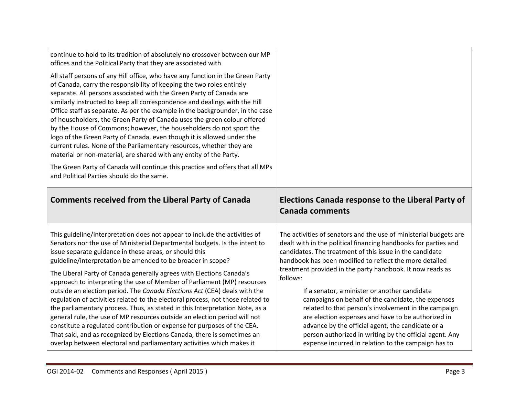| continue to hold to its tradition of absolutely no crossover between our MP<br>offices and the Political Party that they are associated with.                                                                                                                                                                                                                                                                                                                                                                                                                                                                                                                                                                                                                            |                                                                                                                                                                                                                                                                                                                                                                                                                                                                                                                                                           |
|--------------------------------------------------------------------------------------------------------------------------------------------------------------------------------------------------------------------------------------------------------------------------------------------------------------------------------------------------------------------------------------------------------------------------------------------------------------------------------------------------------------------------------------------------------------------------------------------------------------------------------------------------------------------------------------------------------------------------------------------------------------------------|-----------------------------------------------------------------------------------------------------------------------------------------------------------------------------------------------------------------------------------------------------------------------------------------------------------------------------------------------------------------------------------------------------------------------------------------------------------------------------------------------------------------------------------------------------------|
| All staff persons of any Hill office, who have any function in the Green Party<br>of Canada, carry the responsibility of keeping the two roles entirely<br>separate. All persons associated with the Green Party of Canada are<br>similarly instructed to keep all correspondence and dealings with the Hill<br>Office staff as separate. As per the example in the backgrounder, in the case<br>of householders, the Green Party of Canada uses the green colour offered<br>by the House of Commons; however, the householders do not sport the<br>logo of the Green Party of Canada, even though it is allowed under the<br>current rules. None of the Parliamentary resources, whether they are<br>material or non-material, are shared with any entity of the Party. |                                                                                                                                                                                                                                                                                                                                                                                                                                                                                                                                                           |
| The Green Party of Canada will continue this practice and offers that all MPs<br>and Political Parties should do the same.                                                                                                                                                                                                                                                                                                                                                                                                                                                                                                                                                                                                                                               |                                                                                                                                                                                                                                                                                                                                                                                                                                                                                                                                                           |
|                                                                                                                                                                                                                                                                                                                                                                                                                                                                                                                                                                                                                                                                                                                                                                          |                                                                                                                                                                                                                                                                                                                                                                                                                                                                                                                                                           |
| <b>Comments received from the Liberal Party of Canada</b>                                                                                                                                                                                                                                                                                                                                                                                                                                                                                                                                                                                                                                                                                                                | Elections Canada response to the Liberal Party of<br><b>Canada comments</b>                                                                                                                                                                                                                                                                                                                                                                                                                                                                               |
| This guideline/interpretation does not appear to include the activities of<br>Senators nor the use of Ministerial Departmental budgets. Is the intent to<br>issue separate guidance in these areas, or should this<br>guideline/interpretation be amended to be broader in scope?<br>The Liberal Party of Canada generally agrees with Elections Canada's<br>approach to interpreting the use of Member of Parliament (MP) resources<br>outside an election period. The Canada Elections Act (CEA) deals with the<br>regulation of activities related to the electoral process, not those related to<br>the parliamentary process. Thus, as stated in this Interpretation Note, as a<br>general rule, the use of MP resources outside an election period will not        | The activities of senators and the use of ministerial budgets are<br>dealt with in the political financing handbooks for parties and<br>candidates. The treatment of this issue in the candidate<br>handbook has been modified to reflect the more detailed<br>treatment provided in the party handbook. It now reads as<br>follows:<br>If a senator, a minister or another candidate<br>campaigns on behalf of the candidate, the expenses<br>related to that person's involvement in the campaign<br>are election expenses and have to be authorized in |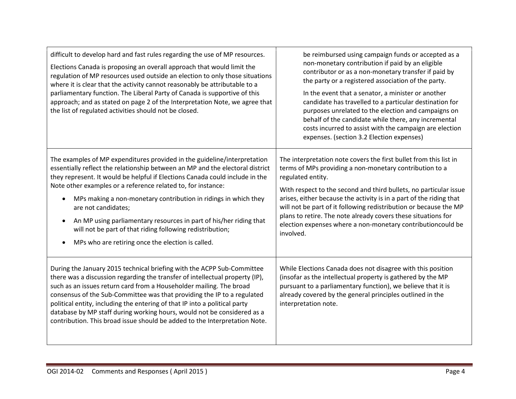| difficult to develop hard and fast rules regarding the use of MP resources.<br>Elections Canada is proposing an overall approach that would limit the<br>regulation of MP resources used outside an election to only those situations<br>where it is clear that the activity cannot reasonably be attributable to a<br>parliamentary function. The Liberal Party of Canada is supportive of this<br>approach; and as stated on page 2 of the Interpretation Note, we agree that<br>the list of regulated activities should not be closed.                                                                | be reimbursed using campaign funds or accepted as a<br>non-monetary contribution if paid by an eligible<br>contributor or as a non-monetary transfer if paid by<br>the party or a registered association of the party.<br>In the event that a senator, a minister or another<br>candidate has travelled to a particular destination for<br>purposes unrelated to the election and campaigns on<br>behalf of the candidate while there, any incremental<br>costs incurred to assist with the campaign are election<br>expenses. (section 3.2 Election expenses) |
|----------------------------------------------------------------------------------------------------------------------------------------------------------------------------------------------------------------------------------------------------------------------------------------------------------------------------------------------------------------------------------------------------------------------------------------------------------------------------------------------------------------------------------------------------------------------------------------------------------|----------------------------------------------------------------------------------------------------------------------------------------------------------------------------------------------------------------------------------------------------------------------------------------------------------------------------------------------------------------------------------------------------------------------------------------------------------------------------------------------------------------------------------------------------------------|
| The examples of MP expenditures provided in the guideline/interpretation<br>essentially reflect the relationship between an MP and the electoral district<br>they represent. It would be helpful if Elections Canada could include in the<br>Note other examples or a reference related to, for instance:<br>MPs making a non-monetary contribution in ridings in which they<br>are not candidates;<br>An MP using parliamentary resources in part of his/her riding that<br>$\bullet$<br>will not be part of that riding following redistribution;<br>MPs who are retiring once the election is called. | The interpretation note covers the first bullet from this list in<br>terms of MPs providing a non-monetary contribution to a<br>regulated entity.<br>With respect to the second and third bullets, no particular issue<br>arises, either because the activity is in a part of the riding that<br>will not be part of it following redistribution or because the MP<br>plans to retire. The note already covers these situations for<br>election expenses where a non-monetary contributioncould be<br>involved.                                                |
| During the January 2015 technical briefing with the ACPP Sub-Committee<br>there was a discussion regarding the transfer of intellectual property (IP),<br>such as an issues return card from a Householder mailing. The broad<br>consensus of the Sub-Committee was that providing the IP to a regulated<br>political entity, including the entering of that IP into a political party<br>database by MP staff during working hours, would not be considered as a<br>contribution. This broad issue should be added to the Interpretation Note.                                                          | While Elections Canada does not disagree with this position<br>(insofar as the intellectual property is gathered by the MP<br>pursuant to a parliamentary function), we believe that it is<br>already covered by the general principles outlined in the<br>interpretation note.                                                                                                                                                                                                                                                                                |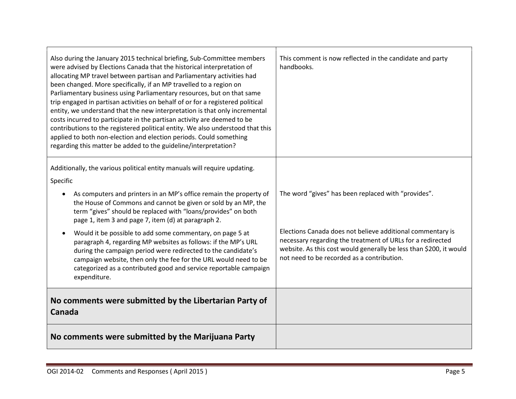| Also during the January 2015 technical briefing, Sub-Committee members<br>were advised by Elections Canada that the historical interpretation of<br>allocating MP travel between partisan and Parliamentary activities had<br>been changed. More specifically, if an MP travelled to a region on<br>Parliamentary business using Parliamentary resources, but on that same<br>trip engaged in partisan activities on behalf of or for a registered political<br>entity, we understand that the new interpretation is that only incremental<br>costs incurred to participate in the partisan activity are deemed to be<br>contributions to the registered political entity. We also understood that this<br>applied to both non-election and election periods. Could something<br>regarding this matter be added to the guideline/interpretation? | This comment is now reflected in the candidate and party<br>handbooks.                                                                                                                                                                       |
|--------------------------------------------------------------------------------------------------------------------------------------------------------------------------------------------------------------------------------------------------------------------------------------------------------------------------------------------------------------------------------------------------------------------------------------------------------------------------------------------------------------------------------------------------------------------------------------------------------------------------------------------------------------------------------------------------------------------------------------------------------------------------------------------------------------------------------------------------|----------------------------------------------------------------------------------------------------------------------------------------------------------------------------------------------------------------------------------------------|
| Additionally, the various political entity manuals will require updating.                                                                                                                                                                                                                                                                                                                                                                                                                                                                                                                                                                                                                                                                                                                                                                        |                                                                                                                                                                                                                                              |
| Specific                                                                                                                                                                                                                                                                                                                                                                                                                                                                                                                                                                                                                                                                                                                                                                                                                                         |                                                                                                                                                                                                                                              |
| As computers and printers in an MP's office remain the property of<br>the House of Commons and cannot be given or sold by an MP, the<br>term "gives" should be replaced with "loans/provides" on both<br>page 1, item 3 and page 7, item (d) at paragraph 2.                                                                                                                                                                                                                                                                                                                                                                                                                                                                                                                                                                                     | The word "gives" has been replaced with "provides".                                                                                                                                                                                          |
| Would it be possible to add some commentary, on page 5 at<br>paragraph 4, regarding MP websites as follows: if the MP's URL<br>during the campaign period were redirected to the candidate's<br>campaign website, then only the fee for the URL would need to be<br>categorized as a contributed good and service reportable campaign<br>expenditure.                                                                                                                                                                                                                                                                                                                                                                                                                                                                                            | Elections Canada does not believe additional commentary is<br>necessary regarding the treatment of URLs for a redirected<br>website. As this cost would generally be less than \$200, it would<br>not need to be recorded as a contribution. |
| No comments were submitted by the Libertarian Party of<br>Canada                                                                                                                                                                                                                                                                                                                                                                                                                                                                                                                                                                                                                                                                                                                                                                                 |                                                                                                                                                                                                                                              |
| No comments were submitted by the Marijuana Party                                                                                                                                                                                                                                                                                                                                                                                                                                                                                                                                                                                                                                                                                                                                                                                                |                                                                                                                                                                                                                                              |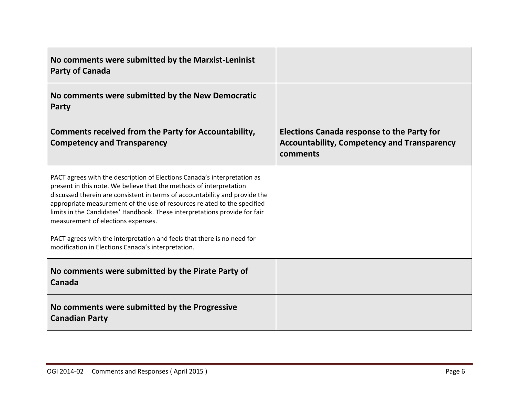| No comments were submitted by the Marxist-Leninist<br><b>Party of Canada</b>                                                                                                                                                                                                                                                                                                                                                   |                                                                                                                     |
|--------------------------------------------------------------------------------------------------------------------------------------------------------------------------------------------------------------------------------------------------------------------------------------------------------------------------------------------------------------------------------------------------------------------------------|---------------------------------------------------------------------------------------------------------------------|
| No comments were submitted by the New Democratic<br>Party                                                                                                                                                                                                                                                                                                                                                                      |                                                                                                                     |
| <b>Comments received from the Party for Accountability,</b><br><b>Competency and Transparency</b>                                                                                                                                                                                                                                                                                                                              | <b>Elections Canada response to the Party for</b><br><b>Accountability, Competency and Transparency</b><br>comments |
| PACT agrees with the description of Elections Canada's interpretation as<br>present in this note. We believe that the methods of interpretation<br>discussed therein are consistent in terms of accountability and provide the<br>appropriate measurement of the use of resources related to the specified<br>limits in the Candidates' Handbook. These interpretations provide for fair<br>measurement of elections expenses. |                                                                                                                     |
| PACT agrees with the interpretation and feels that there is no need for<br>modification in Elections Canada's interpretation.                                                                                                                                                                                                                                                                                                  |                                                                                                                     |
| No comments were submitted by the Pirate Party of<br>Canada                                                                                                                                                                                                                                                                                                                                                                    |                                                                                                                     |
| No comments were submitted by the Progressive<br><b>Canadian Party</b>                                                                                                                                                                                                                                                                                                                                                         |                                                                                                                     |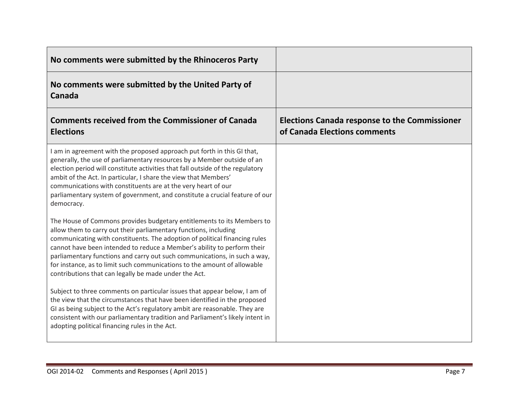| No comments were submitted by the Rhinoceros Party                                                                                                                                                                                                                                                                                                                                                                                                                                                                    |                                                                                      |
|-----------------------------------------------------------------------------------------------------------------------------------------------------------------------------------------------------------------------------------------------------------------------------------------------------------------------------------------------------------------------------------------------------------------------------------------------------------------------------------------------------------------------|--------------------------------------------------------------------------------------|
| No comments were submitted by the United Party of<br>Canada                                                                                                                                                                                                                                                                                                                                                                                                                                                           |                                                                                      |
| <b>Comments received from the Commissioner of Canada</b><br><b>Elections</b>                                                                                                                                                                                                                                                                                                                                                                                                                                          | <b>Elections Canada response to the Commissioner</b><br>of Canada Elections comments |
| I am in agreement with the proposed approach put forth in this GI that,<br>generally, the use of parliamentary resources by a Member outside of an<br>election period will constitute activities that fall outside of the regulatory<br>ambit of the Act. In particular, I share the view that Members'<br>communications with constituents are at the very heart of our<br>parliamentary system of government, and constitute a crucial feature of our<br>democracy.                                                 |                                                                                      |
| The House of Commons provides budgetary entitlements to its Members to<br>allow them to carry out their parliamentary functions, including<br>communicating with constituents. The adoption of political financing rules<br>cannot have been intended to reduce a Member's ability to perform their<br>parliamentary functions and carry out such communications, in such a way,<br>for instance, as to limit such communications to the amount of allowable<br>contributions that can legally be made under the Act. |                                                                                      |
| Subject to three comments on particular issues that appear below, I am of<br>the view that the circumstances that have been identified in the proposed<br>GI as being subject to the Act's regulatory ambit are reasonable. They are<br>consistent with our parliamentary tradition and Parliament's likely intent in<br>adopting political financing rules in the Act.                                                                                                                                               |                                                                                      |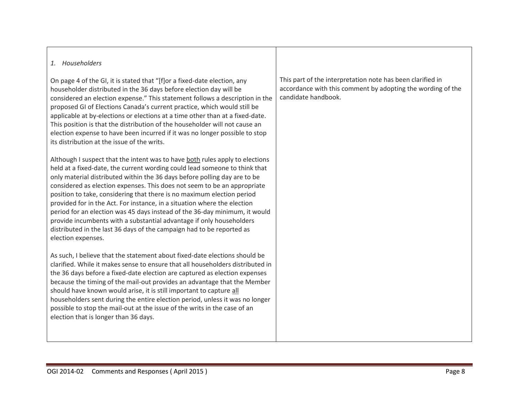## *1. Householders*

On page 4 of the GI, it is stated that "[f]or a fixed-date election, any householder distributed in the 36 days before election day will be considered an election expense." This statement follows a description in the proposed GI of Elections Canada's current practice, which would still be applicable at by-elections or elections at a time other than at a fixed-date. This position is that the distribution of the householder will not cause an election expense to have been incurred if it was no longer possible to stop its distribution at the issue of the writs.

Although I suspect that the intent was to have both rules apply to elections held at a fixed-date, the current wording could lead someone to think that only material distributed within the 36 days before polling day are to be considered as election expenses. This does not seem to be an appropriate position to take, considering that there is no maximum election period provided for in the Act. For instance, in a situation where the election period for an election was 45 days instead of the 36-day minimum, it would provide incumbents with a substantial advantage if only householders distributed in the last 36 days of the campaign had to be reported as election expenses.

As such, I believe that the statement about fixed-date elections should be clarified. While it makes sense to ensure that all householders distributed in the 36 days before a fixed-date election are captured as election expenses because the timing of the mail-out provides an advantage that the Member should have known would arise, it is still important to capture all householders sent during the entire election period, unless it was no longer possible to stop the mail-out at the issue of the writs in the case of an election that is longer than 36 days.

This part of the interpretation note has been clarified in accordance with this comment by adopting the wording of the candidate handbook.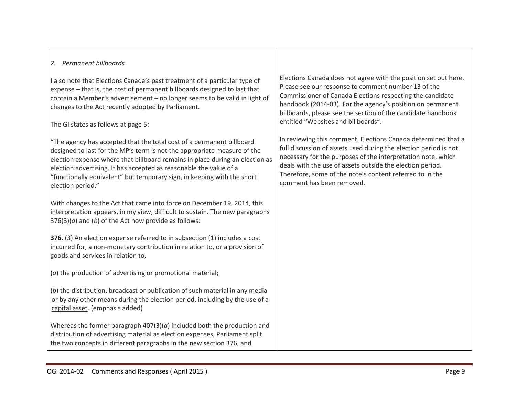## *2. Permanent billboards*

I also note that Elections Canada's past treatment of a particular type of expense – that is, the cost of permanent billboards designed to last that contain a Member's advertisement – no longer seems to be valid in light of changes to the Act recently adopted by Parliament.

The GI states as follows at page 5:

"The agency has accepted that the total cost of a permanent billboard designed to last for the MP's term is not the appropriate measure of the election expense where that billboard remains in place during an election as election advertising. It has accepted as reasonable the value of a "functionally equivalent" but temporary sign, in keeping with the short election period."

With changes to the Act that came into force on December 19, 2014, this interpretation appears, in my view, difficult to sustain. The new paragraphs 376(3)(*a*) and (*b*) of the Act now provide as follows:

**376.** (3) An election expense referred to in subsection (1) includes a cost incurred for, a non-monetary contribution in relation to, or a provision of goods and services in relation to,

(*a*) the production of advertising or promotional material;

(*b*) the distribution, broadcast or publication of such material in any media or by any other means during the election period, including by the use of a capital asset. (emphasis added)

Whereas the former paragraph 407(3)(*a*) included both the production and distribution of advertising material as election expenses, Parliament split the two concepts in different paragraphs in the new section 376, and

Elections Canada does not agree with the position set out here. Please see our response to comment number 13 of the Commissioner of Canada Elections respecting the candidate handbook (2014-03)*.* For the agency's position on permanent billboards, please see the section of the candidate handbook entitled "Websites and billboards".

In reviewing this comment, Elections Canada determined that a full discussion of assets used during the election period is not necessary for the purposes of the interpretation note, which deals with the use of assets outside the election period. Therefore, some of the note's content referred to in the comment has been removed.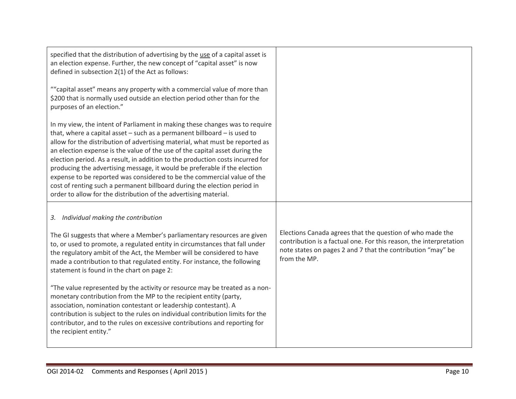| specified that the distribution of advertising by the use of a capital asset is<br>an election expense. Further, the new concept of "capital asset" is now<br>defined in subsection 2(1) of the Act as follows:                                                                                                                                                                                                                                                                                                                                                                                                                                                                                                      |                                                                                                                                                                                                                |
|----------------------------------------------------------------------------------------------------------------------------------------------------------------------------------------------------------------------------------------------------------------------------------------------------------------------------------------------------------------------------------------------------------------------------------------------------------------------------------------------------------------------------------------------------------------------------------------------------------------------------------------------------------------------------------------------------------------------|----------------------------------------------------------------------------------------------------------------------------------------------------------------------------------------------------------------|
| ""capital asset" means any property with a commercial value of more than<br>\$200 that is normally used outside an election period other than for the<br>purposes of an election."                                                                                                                                                                                                                                                                                                                                                                                                                                                                                                                                   |                                                                                                                                                                                                                |
| In my view, the intent of Parliament in making these changes was to require<br>that, where a capital asset $-$ such as a permanent billboard $-$ is used to<br>allow for the distribution of advertising material, what must be reported as<br>an election expense is the value of the use of the capital asset during the<br>election period. As a result, in addition to the production costs incurred for<br>producing the advertising message, it would be preferable if the election<br>expense to be reported was considered to be the commercial value of the<br>cost of renting such a permanent billboard during the election period in<br>order to allow for the distribution of the advertising material. |                                                                                                                                                                                                                |
| 3. Individual making the contribution                                                                                                                                                                                                                                                                                                                                                                                                                                                                                                                                                                                                                                                                                |                                                                                                                                                                                                                |
| The GI suggests that where a Member's parliamentary resources are given<br>to, or used to promote, a regulated entity in circumstances that fall under<br>the regulatory ambit of the Act, the Member will be considered to have<br>made a contribution to that regulated entity. For instance, the following<br>statement is found in the chart on page 2:                                                                                                                                                                                                                                                                                                                                                          | Elections Canada agrees that the question of who made the<br>contribution is a factual one. For this reason, the interpretation<br>note states on pages 2 and 7 that the contribution "may" be<br>from the MP. |
| "The value represented by the activity or resource may be treated as a non-<br>monetary contribution from the MP to the recipient entity (party,<br>association, nomination contestant or leadership contestant). A<br>contribution is subject to the rules on individual contribution limits for the<br>contributor, and to the rules on excessive contributions and reporting for<br>the recipient entity."                                                                                                                                                                                                                                                                                                        |                                                                                                                                                                                                                |